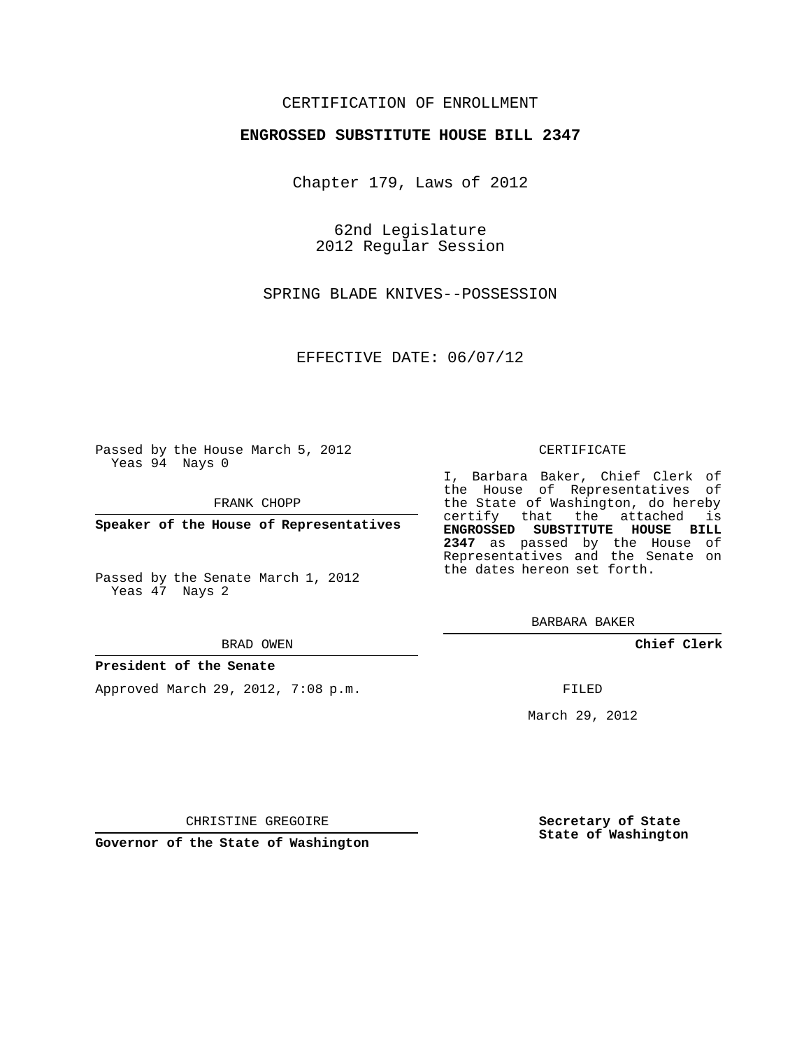# CERTIFICATION OF ENROLLMENT

### **ENGROSSED SUBSTITUTE HOUSE BILL 2347**

Chapter 179, Laws of 2012

62nd Legislature 2012 Regular Session

SPRING BLADE KNIVES--POSSESSION

EFFECTIVE DATE: 06/07/12

Passed by the House March 5, 2012 Yeas 94 Nays 0

FRANK CHOPP

**Speaker of the House of Representatives**

Passed by the Senate March 1, 2012 Yeas 47 Nays 2

#### BRAD OWEN

#### **President of the Senate**

Approved March 29, 2012, 7:08 p.m.

#### CERTIFICATE

I, Barbara Baker, Chief Clerk of the House of Representatives of the State of Washington, do hereby certify that the attached is **ENGROSSED SUBSTITUTE HOUSE BILL 2347** as passed by the House of Representatives and the Senate on the dates hereon set forth.

BARBARA BAKER

**Chief Clerk**

FILED

March 29, 2012

**Secretary of State State of Washington**

CHRISTINE GREGOIRE

**Governor of the State of Washington**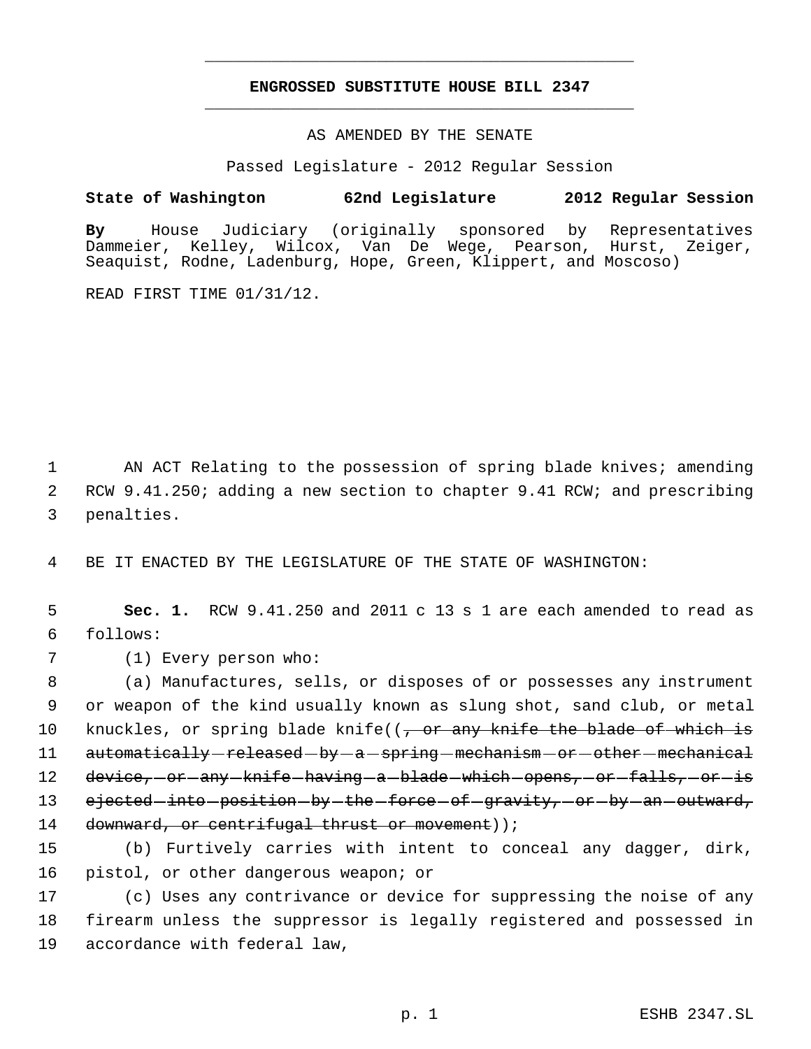# **ENGROSSED SUBSTITUTE HOUSE BILL 2347** \_\_\_\_\_\_\_\_\_\_\_\_\_\_\_\_\_\_\_\_\_\_\_\_\_\_\_\_\_\_\_\_\_\_\_\_\_\_\_\_\_\_\_\_\_

\_\_\_\_\_\_\_\_\_\_\_\_\_\_\_\_\_\_\_\_\_\_\_\_\_\_\_\_\_\_\_\_\_\_\_\_\_\_\_\_\_\_\_\_\_

AS AMENDED BY THE SENATE

Passed Legislature - 2012 Regular Session

# **State of Washington 62nd Legislature 2012 Regular Session**

**By** House Judiciary (originally sponsored by Representatives Dammeier, Kelley, Wilcox, Van De Wege, Pearson, Hurst, Zeiger, Seaquist, Rodne, Ladenburg, Hope, Green, Klippert, and Moscoso)

READ FIRST TIME 01/31/12.

1 AN ACT Relating to the possession of spring blade knives; amending 2 RCW 9.41.250; adding a new section to chapter 9.41 RCW; and prescribing 3 penalties.

4 BE IT ENACTED BY THE LEGISLATURE OF THE STATE OF WASHINGTON:

 5 **Sec. 1.** RCW 9.41.250 and 2011 c 13 s 1 are each amended to read as 6 follows:

7 (1) Every person who:

 8 (a) Manufactures, sells, or disposes of or possesses any instrument 9 or weapon of the kind usually known as slung shot, sand club, or metal 10 knuckles, or spring blade knife((<del>, or any knife the blade of which is</del> 11 automatically -released -by - a - spring - mechanism - or - other - mechanical 12 device, or any knife having a blade which opens, or falls, or is 13 ejected into position by the force of gravity, or by an outward, 14 downward, or centrifugal thrust or movement) ;

15 (b) Furtively carries with intent to conceal any dagger, dirk, 16 pistol, or other dangerous weapon; or

17 (c) Uses any contrivance or device for suppressing the noise of any 18 firearm unless the suppressor is legally registered and possessed in 19 accordance with federal law,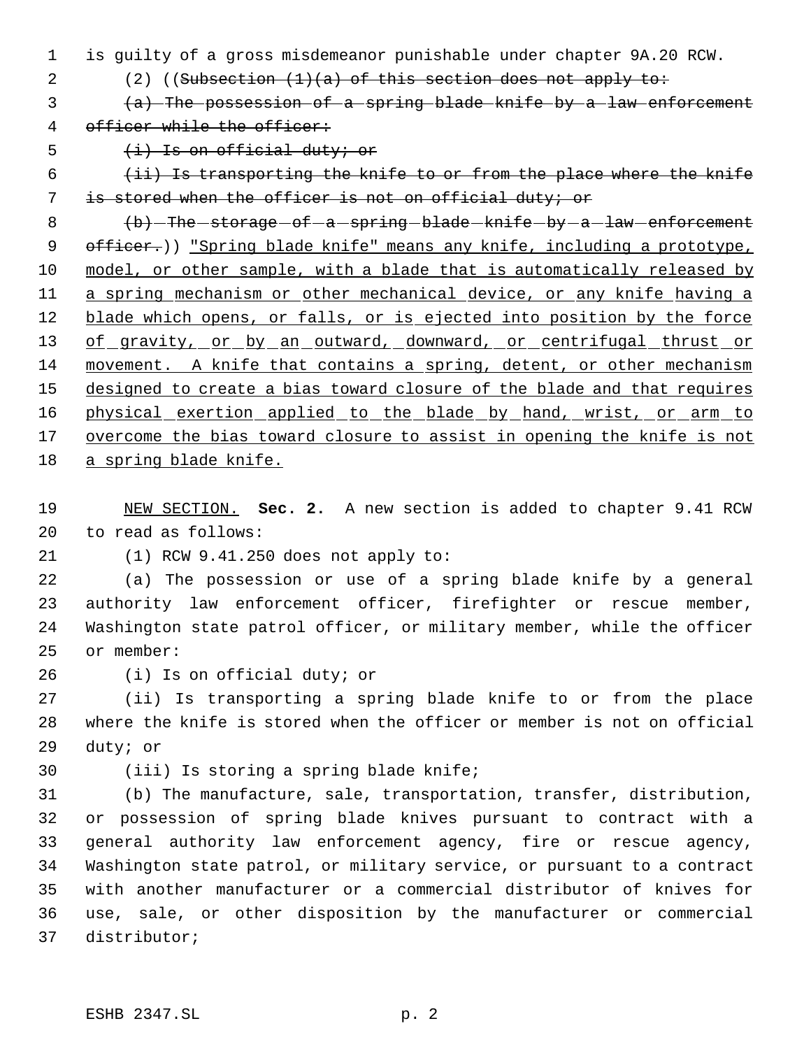is guilty of a gross misdemeanor punishable under chapter 9A.20 RCW.

2 (2) ((Subsection  $(1)(a)$  of this section does not apply to:

 (a) The possession of a spring blade knife by a law enforcement officer while the officer:

 $(i)$  Is on official duty; or

 (ii) Is transporting the knife to or from the place where the knife is stored when the officer is not on official duty; or

8 (b) The storage of a spring blade knife by a law enforcement 9 officer.)) "Spring blade knife" means any knife, including a prototype, model, or other sample, with a blade that is automatically released by 11 a spring mechanism or other mechanical device, or any knife having a 12 blade which opens, or falls, or is ejected into position by the force 13 of gravity, or by an outward, downward, or centrifugal thrust or movement. A knife that contains a spring, detent, or other mechanism 15 designed to create a bias toward closure of the blade and that requires 16 physical exertion applied to the blade by hand, wrist, or arm to 17 overcome the bias toward closure to assist in opening the knife is not a spring blade knife.

 NEW SECTION. **Sec. 2.** A new section is added to chapter 9.41 RCW to read as follows:

(1) RCW 9.41.250 does not apply to:

 (a) The possession or use of a spring blade knife by a general authority law enforcement officer, firefighter or rescue member, Washington state patrol officer, or military member, while the officer or member:

(i) Is on official duty; or

 (ii) Is transporting a spring blade knife to or from the place where the knife is stored when the officer or member is not on official duty; or

(iii) Is storing a spring blade knife;

 (b) The manufacture, sale, transportation, transfer, distribution, or possession of spring blade knives pursuant to contract with a general authority law enforcement agency, fire or rescue agency, Washington state patrol, or military service, or pursuant to a contract with another manufacturer or a commercial distributor of knives for use, sale, or other disposition by the manufacturer or commercial distributor;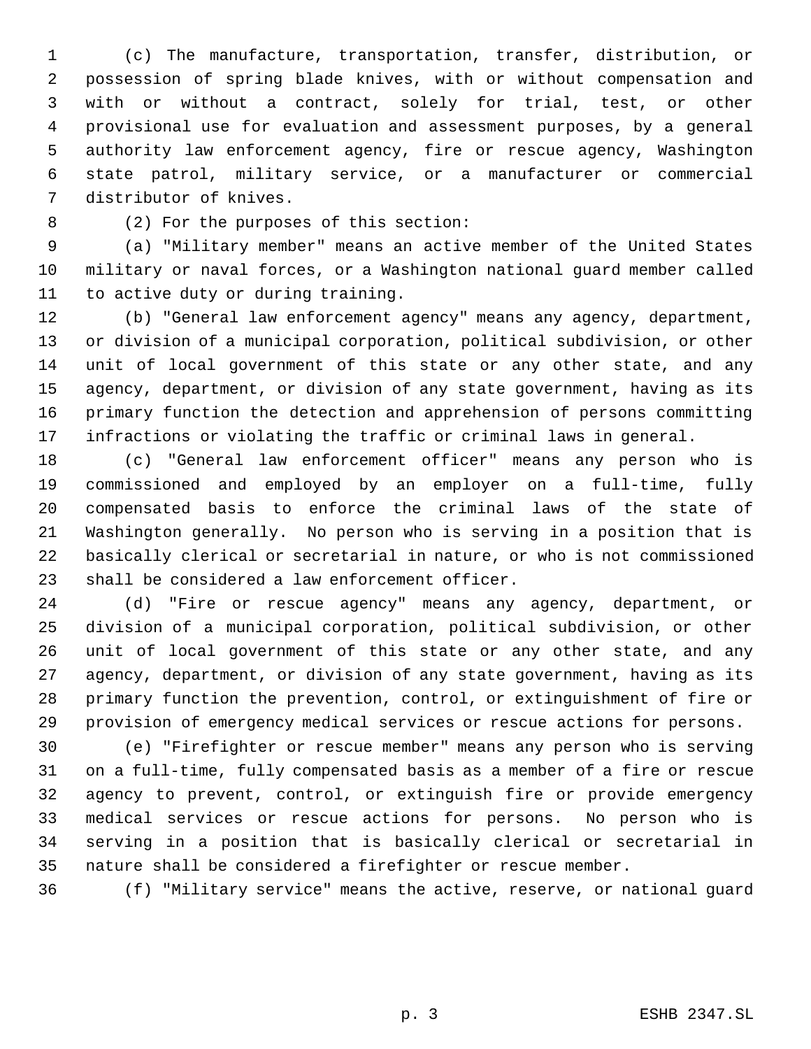(c) The manufacture, transportation, transfer, distribution, or possession of spring blade knives, with or without compensation and with or without a contract, solely for trial, test, or other provisional use for evaluation and assessment purposes, by a general authority law enforcement agency, fire or rescue agency, Washington state patrol, military service, or a manufacturer or commercial distributor of knives.

(2) For the purposes of this section:

 (a) "Military member" means an active member of the United States military or naval forces, or a Washington national guard member called to active duty or during training.

 (b) "General law enforcement agency" means any agency, department, or division of a municipal corporation, political subdivision, or other unit of local government of this state or any other state, and any agency, department, or division of any state government, having as its primary function the detection and apprehension of persons committing infractions or violating the traffic or criminal laws in general.

 (c) "General law enforcement officer" means any person who is commissioned and employed by an employer on a full-time, fully compensated basis to enforce the criminal laws of the state of Washington generally. No person who is serving in a position that is basically clerical or secretarial in nature, or who is not commissioned shall be considered a law enforcement officer.

 (d) "Fire or rescue agency" means any agency, department, or division of a municipal corporation, political subdivision, or other unit of local government of this state or any other state, and any agency, department, or division of any state government, having as its primary function the prevention, control, or extinguishment of fire or provision of emergency medical services or rescue actions for persons.

 (e) "Firefighter or rescue member" means any person who is serving on a full-time, fully compensated basis as a member of a fire or rescue agency to prevent, control, or extinguish fire or provide emergency medical services or rescue actions for persons. No person who is serving in a position that is basically clerical or secretarial in nature shall be considered a firefighter or rescue member.

(f) "Military service" means the active, reserve, or national guard